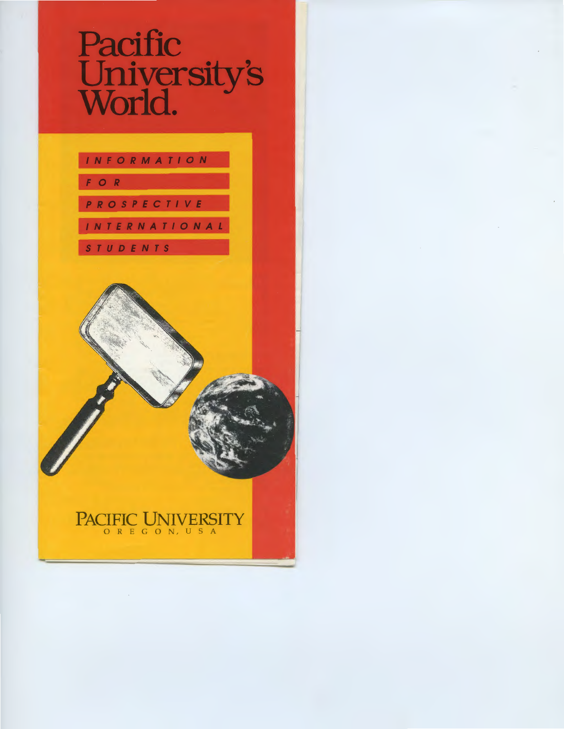# Pacific University<br>World. S



## **PACIFIC UNIVERSITY**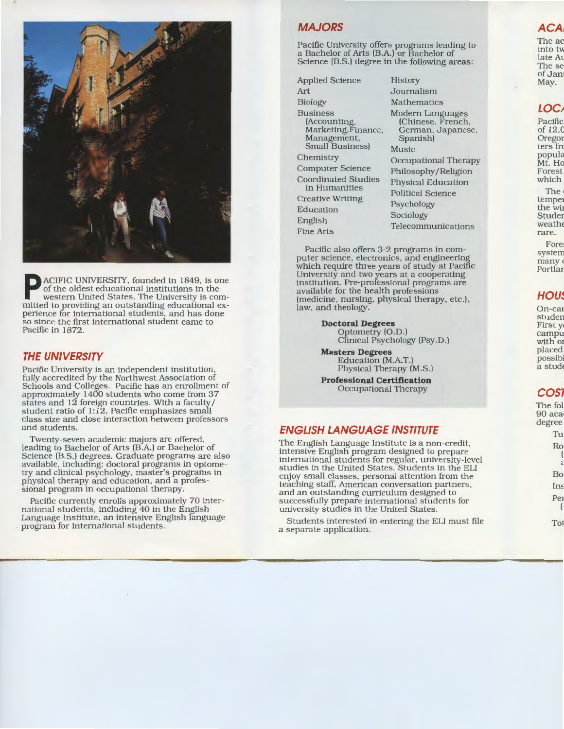

**PACIFIC UNIVERSITY, founded in 1849, is one** of the oldest educational institutions in the western United States. The University is committed to providing an outstanding educational exof the oldest educational institutions in the perience for international students, and has done<br>so since the first international student came to Pacific in 1872.

#### **THE UNIVERSITY**

Pacific University is an independent institution, fully accredited by the Northwest Association of Schools and Colleges. Pacific has an enrollment of approximately 1400 students who come from 37 states and  $12$  foreign countries. With a faculty/ student ratio of 1:12, Pacific emphasizes small class size and close interaction between professors and students.

Twenty-seven academic majors are offered, leading to Bachelor of Arts (B.A.) or Bachelor of Science (B.S.) degrees. Graduate programs are also available, including: doctoral programs in optometry and clinical psychology, master's programs in physical therapy and education, and a professional program in occupational therapy.

Pacific currently enrolls approximately 70 international students, including 40 in the English Language Institute, an intensive English language program for international students.

#### **MAJORS**

Pacific University offers programs leading to a Bachelor of Arts (B.A.) or Bachelor of Science (B.S.) degree in the following areas:

History

Applied Science Art Biology Business (Accounting, Marketing, Finance, Management, Small Business) **Chemistry** Computer Science Coordinated Studies in Humanities Creative Writing Education English Fine Arts

Journalism Mathematics Modern Languages (Chinese, French, German, Japanese, Spanish) Music Occupational Therapy Philosophy /Religion Physical Education Political Science Psychology Sociology Telecommunications

Pacific also offers 3-2 programs in com-<br>puter science, electronics, and engineering which require three years of study at Pacific University and two years at a cooperating institution. Pre-professional programs are available for the health professions (medicine, nursing, physical therapy, etc.), law, and theology.

> **Doctoral Degrees**  Optometry (O.D.) Clinical Psychology (Psy.D.)

**Masters Degrees**  Education (M.A.T.) Physical Therapy (M.S.)

**Professional Certification**  Occupational Therapy

### **ENGLISH LANGUAGE INSTITUTE**

The English Language Institute is a non-credit, intensive English program designed to prepare international students for regular, university-level studies in the United States. Students in the ELI enjoy small classes, personal attention from the teaching staff, American conversation partners, and an outstanding curriculum designed to successfully prepare international students for university studies in the United States.

Students interested in entering the ELI must file a separate application.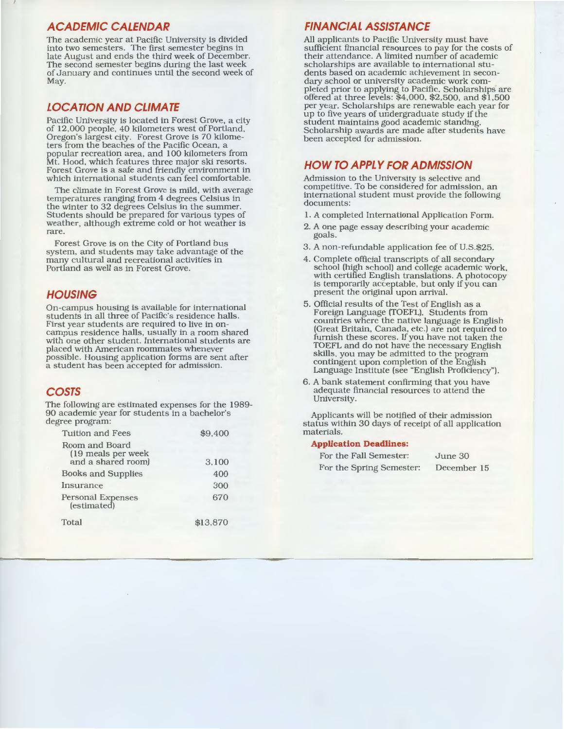#### **ACADEMIC CALENDAR**

The academic year at Pacific University is divided into two semesters. The first semester begins in late August and ends the third week of December. The second semester begins during the last week of January and continues until the second week of May.

#### **LOCATION AND CLIMATE**

Pacific University is located in Forest Grove, a city of 12,000 people, 40 kilometers west of Portland, Oregon's largest city. Forest Grove is 70 kilometers from the beaches of the Pacific Ocean, a popular recreation area, and 100 kilometers from Mt. Hood, which features three major ski resorts. Forest Grove is a safe and friendly environment in which international students can feel comfortable.

The climate in Forest Grove is mild, with average temperatures ranging from 4 degrees Celsius in the winter to 32 degrees Celsius in the summer. Students should be prepared for various types of weather, although extreme cold or hot weather is rare.

Forest Grove is on the City of Portland bus system, and students may take advantage of the many cultural and recreational activities in Portland as well as in Forest Grove.

#### **HOUSING**

On-campus housing is available for international students in all three of Pacific's residence halls. First year students are required to live in oncampus residence halls, usually in a room shared with one other student. lntemational students are placed with American roommates whenever possible. Housing application forms are sent after a student has been accepted for admission.

#### **COSTS**

The following are estimated expenses for the 1989- 90 academic year for students in a bachelor's degree program:

| <b>Tuition and Fees</b>                                    | \$9,400  |
|------------------------------------------------------------|----------|
| Room and Board<br>(19 meals per week<br>and a shared room) | 3,100    |
| <b>Books and Supplies</b>                                  | 400      |
| Insurance                                                  | 300      |
| <b>Personal Expenses</b><br>(estimated)                    | 670      |
| Total                                                      | \$13,870 |

#### **FINANCIAL ASSISTANCE**

All applicants to Pacific University must have sufficient financial resources to pay for the costs of their attendance. A limited number of academic scholarships are available to international students based on academic achievement in secon-<br>dary school or university academic work com-<br>pleted prior to applying to Pacific. Scholarships are offered at three levels:  $$4,000$ ,  $$2,500$ , and  $$1,500$ per year. Scholarships are renewable each year for up to five years of undergraduate study if the student maintains good academic standing. Scholarship awards are made after students have been accepted for admission.

#### **HOW TO APPLY FOR ADMISSION**

Admission to the University is selective and competitive. To be considered for admission, an intemational student must provide the following documents:

- 1. A completed Intemational Application Form.
- 2. A one page essay describing your academic goals.
- 3. A non-refundable application fee of U.S.\$25.
- 4 . Complete official transcripts of all secondary school (high school) and college academic work, with certified English translations. A photocopy is temporarily acceptable, but only if you can present the original upon arrival.
- 5. Official results of the Test of English as a Foreign Language (TOEFL). Students from countries where the native language is English (Great Britain, Canada, etc.) are not required to furnish these scores. If you have not taken the TOEFL and do not have the necessary English skills, you may be admitted to the program contingent upon completion of the English Language Institute (see "English Proficiency").
- 6. A bank statement confirming that you have adequate financial resources to attend the University.

Applicants will be notified of their admission status within 30 days of receipt of all application materials.

#### **Application Deadlines:**

| For the Fall Semester:   | June 30     |
|--------------------------|-------------|
| For the Spring Semester: | December 15 |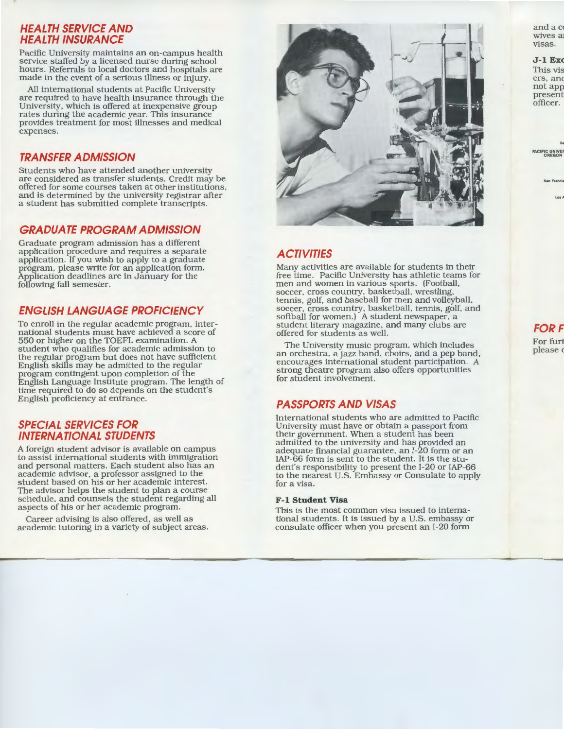#### **HEALTH SERVICE AND HEALTH INSURANCE**

Pacific University maintains an on-campus health service staffed by a licensed nurse during school made in the event of a serious illness or injury.

All international students at Pacific University are required to have health insurance through the University, which is offered at inexpensive group rates during the academic year. This insurance provides treatment for most illnesses and medical expenses.

#### **TRANSFER ADMISSION**

Students who have attended another university are considered as transfer students. Credit may be offered for some courses taken at other institutions, and is determined by the university registrar after a student has submitted complete transcripts.

### **GRADUATE PROGRAM ADMISSION**

Graduate program admission has a different application procedure and requires a separate application. If you wish to apply to a graduate program, please write for an application form. Application deadlines are in January for the following fall semester.

### **ENGLISH LANGUAGE PROFICIENCY**

To enroll in the regular academic program, international students must have achieved a score of 550 or higher on the TOEFL examination. A student who qualifies for academic admission to the regular program but does not have sufficient English skills may be admitted to the regular program contingent upon completion of the English Language Institute program. The length of time required to do so depends on the student's English proficiency at entrance.

#### **SPECIAL SERVICES FOR INTERNATIONAL STUDENTS**

A foreign student advisor is available on campus to assist international students with immigration and personal matters. Each student also has an academic advisor, a professor assigned to the student based on his or her academic interest. schedule, and counsels the student regarding all aspects of his or her academic program.

Career advising is also offered, as well as academic tutoring in a variety of subject areas.



#### **ACTIVITIES**

Many activities are available for students in their men and women in various sports. (Football, soccer, cross country, basketball, wrestling, tennis, golf, and baseball for men and volleyball, soccer, cross country, basketball, tennis, golf, and softball for women.) A student newspaper, a student literary magazine, and many clubs are offered for students as well.

The University music program, which includes an orchestra, a jazz band, choirs, and a pep band, encourages international student participation. A strong theatre program also offers opportunities for student involvement.

#### **PASSPORTS AND VISAS**

International students who are admitted to Pacific University must have or obtain a passport from their government. When a student has been admitted to the university and has provided an adequate financial guarantee, an 1-20 form or an IAP-66 form is sent to the student. It is the student's responsibility to present the 1-20 or IAP-66 to the nearest U.S. Embassy or Consulate to apply for a visa.

#### **F-1 Student Visa**

This is the most common visa issued to international students. It is issued by a U.S. embassy or consulate officer when you present an 1-20 form